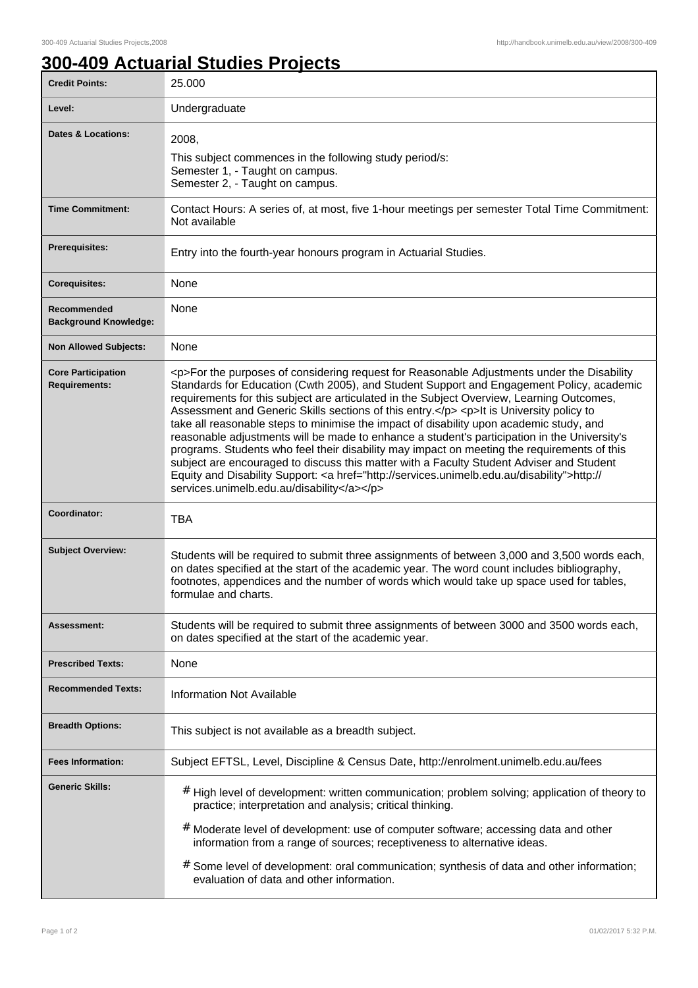## **300-409 Actuarial Studies Projects**

| <b>Credit Points:</b>                             | 25.000                                                                                                                                                                                                                                                                                                                                                                                                                                                                                                                                                                                                                                                                                                                                                                                                                                                                                                                    |
|---------------------------------------------------|---------------------------------------------------------------------------------------------------------------------------------------------------------------------------------------------------------------------------------------------------------------------------------------------------------------------------------------------------------------------------------------------------------------------------------------------------------------------------------------------------------------------------------------------------------------------------------------------------------------------------------------------------------------------------------------------------------------------------------------------------------------------------------------------------------------------------------------------------------------------------------------------------------------------------|
| Level:                                            | Undergraduate                                                                                                                                                                                                                                                                                                                                                                                                                                                                                                                                                                                                                                                                                                                                                                                                                                                                                                             |
| <b>Dates &amp; Locations:</b>                     | 2008,<br>This subject commences in the following study period/s:<br>Semester 1, - Taught on campus.<br>Semester 2, - Taught on campus.                                                                                                                                                                                                                                                                                                                                                                                                                                                                                                                                                                                                                                                                                                                                                                                    |
| <b>Time Commitment:</b>                           | Contact Hours: A series of, at most, five 1-hour meetings per semester Total Time Commitment:<br>Not available                                                                                                                                                                                                                                                                                                                                                                                                                                                                                                                                                                                                                                                                                                                                                                                                            |
| <b>Prerequisites:</b>                             | Entry into the fourth-year honours program in Actuarial Studies.                                                                                                                                                                                                                                                                                                                                                                                                                                                                                                                                                                                                                                                                                                                                                                                                                                                          |
| <b>Corequisites:</b>                              | None                                                                                                                                                                                                                                                                                                                                                                                                                                                                                                                                                                                                                                                                                                                                                                                                                                                                                                                      |
| Recommended<br><b>Background Knowledge:</b>       | None                                                                                                                                                                                                                                                                                                                                                                                                                                                                                                                                                                                                                                                                                                                                                                                                                                                                                                                      |
| <b>Non Allowed Subjects:</b>                      | None                                                                                                                                                                                                                                                                                                                                                                                                                                                                                                                                                                                                                                                                                                                                                                                                                                                                                                                      |
| <b>Core Participation</b><br><b>Requirements:</b> | <p>For the purposes of considering request for Reasonable Adjustments under the Disability<br/>Standards for Education (Cwth 2005), and Student Support and Engagement Policy, academic<br/>requirements for this subject are articulated in the Subject Overview, Learning Outcomes,<br/>Assessment and Generic Skills sections of this entry.</p> <p>lt is University policy to<br/>take all reasonable steps to minimise the impact of disability upon academic study, and<br/>reasonable adjustments will be made to enhance a student's participation in the University's<br/>programs. Students who feel their disability may impact on meeting the requirements of this<br/>subject are encouraged to discuss this matter with a Faculty Student Adviser and Student<br/>Equity and Disability Support: <a href="http://services.unimelb.edu.au/disability">http://<br/>services.unimelb.edu.au/disability</a></p> |
| Coordinator:                                      | <b>TBA</b>                                                                                                                                                                                                                                                                                                                                                                                                                                                                                                                                                                                                                                                                                                                                                                                                                                                                                                                |
| <b>Subject Overview:</b>                          | Students will be required to submit three assignments of between 3,000 and 3,500 words each,<br>on dates specified at the start of the academic year. The word count includes bibliography,<br>footnotes, appendices and the number of words which would take up space used for tables,<br>formulae and charts.                                                                                                                                                                                                                                                                                                                                                                                                                                                                                                                                                                                                           |
| <b>Assessment:</b>                                | Students will be required to submit three assignments of between 3000 and 3500 words each,<br>on dates specified at the start of the academic year.                                                                                                                                                                                                                                                                                                                                                                                                                                                                                                                                                                                                                                                                                                                                                                       |
| <b>Prescribed Texts:</b>                          | None                                                                                                                                                                                                                                                                                                                                                                                                                                                                                                                                                                                                                                                                                                                                                                                                                                                                                                                      |
| <b>Recommended Texts:</b>                         | <b>Information Not Available</b>                                                                                                                                                                                                                                                                                                                                                                                                                                                                                                                                                                                                                                                                                                                                                                                                                                                                                          |
| <b>Breadth Options:</b>                           | This subject is not available as a breadth subject.                                                                                                                                                                                                                                                                                                                                                                                                                                                                                                                                                                                                                                                                                                                                                                                                                                                                       |
| <b>Fees Information:</b>                          | Subject EFTSL, Level, Discipline & Census Date, http://enrolment.unimelb.edu.au/fees                                                                                                                                                                                                                                                                                                                                                                                                                                                                                                                                                                                                                                                                                                                                                                                                                                      |
| <b>Generic Skills:</b>                            | # High level of development: written communication; problem solving; application of theory to<br>practice; interpretation and analysis; critical thinking.<br># Moderate level of development: use of computer software; accessing data and other<br>information from a range of sources; receptiveness to alternative ideas.                                                                                                                                                                                                                                                                                                                                                                                                                                                                                                                                                                                             |
|                                                   | # Some level of development: oral communication; synthesis of data and other information;<br>evaluation of data and other information.                                                                                                                                                                                                                                                                                                                                                                                                                                                                                                                                                                                                                                                                                                                                                                                    |